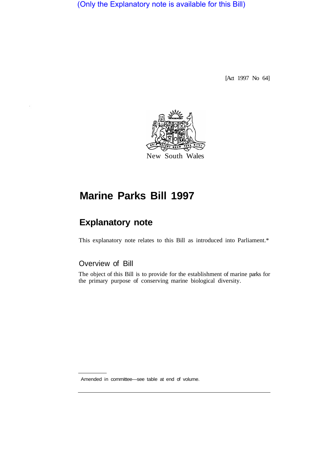(Only the Explanatory note is available for this Bill)

[Act 1997 No 64]



# **Marine Parks Bill 1997**

## **Explanatory note**

This explanatory note relates to this Bill as introduced into Parliament.\*

## Overview of Bill

The object of this Bill is to provide for the establishment of marine parks for the primary purpose of conserving marine biological diversity.

Amended in committee—see table at end of volume.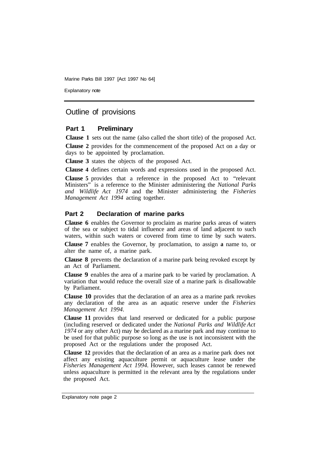Explanatory note

## Outline of provisions

#### **Part 1 Preliminary**

**Clause 1** sets out the name (also called the short title) of the proposed Act.

**Clause 2** provides for the commencement of the proposed Act on a day or days to be appointed by proclamation.

**Clause 3** states the objects of the proposed Act.

**Clause 4** defines certain words and expressions used in the proposed Act.

**Clause 5** provides that a reference in the proposed Act to "relevant Ministers" is a reference to the Minister administering the *National Parks and Wildlife Act 1974* and the Minister administering the *Fisheries Management Act 1994* acting together.

#### **Part 2 Declaration of marine parks**

**Clause 6** enables the Governor to proclaim as marine parks areas of waters of the sea or subject to tidal influence and areas of land adjacent to such waters, within such waters or covered from time to time by such waters.

**Clause 7** enables the Governor, by proclamation, to assign **a** name to, or alter the name of, a marine park.

**Clause 8** prevents the declaration of a marine park being revoked except by an Act of Parliament.

**Clause 9** enables the area of a marine park to be varied by proclamation. A variation that would reduce the overall size of a marine park is disallowable by Parliament.

**Clause 10** provides that the declaration of an area as a marine park revokes any declaration of the area as an aquatic reserve under the *Fisheries Management Act 1994.* 

**Clause 11** provides that land reserved or dedicated for a public purpose (including reserved or dedicated under the *National Parks and Wildlife Act 1974* or any other Act) may be declared as a marine park and may continue to be used for that public purpose so long as the use is not inconsistent with the proposed Act or the regulations under the proposed Act.

**Clause 12** provides that the declaration of an area as a marine park does not affect any existing aquaculture permit or aquaculture lease under the *Fisheries Management Act 1994.* However, such leases cannot be renewed unless aquaculture is permitted in the relevant area by the regulations under the proposed Act.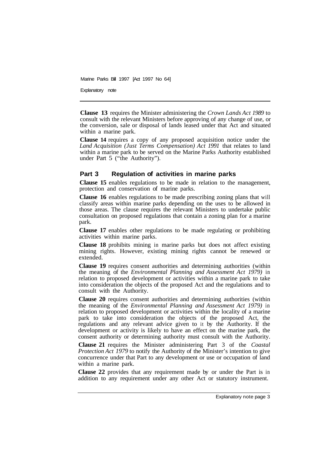Explanatory note

**Clause 13** requires the Minister administering the *Crown Lands Act 1989* to consult with the relevant Ministers before approving of any change of use, or the conversion, sale or disposal of lands leased under that Act and situated within a marine park.

**Clause 14** requires a copy of any proposed acquisition notice under the *Land Acquisition (Just Terms Compensation) Act 1991* that relates to land within a marine park to be served on the Marine Parks Authority established under Part 5 ("the Authority").

## **Part 3 Regulation of activities in marine parks**

**Clause 15** enables regulations to be made in relation to the management, protection and conservation of marine parks.

**Clause 16** enables regulations to be made prescribing zoning plans that will classify areas within marine parks depending on the uses to be allowed in those areas. The clause requires the relevant Ministers to undertake public consultation on proposed regulations that contain a zoning plan for a marine park.

**Clause 17** enables other regulations to be made regulating or prohibiting activities within marine parks.

**Clause 18** prohibits mining in marine parks but does not affect existing mining rights. However, existing mining rights cannot be renewed or extended.

**Clause 19** requires consent authorities and determining authorities (within the meaning of the *Environmental Planning and Assessment Act 1979)* in relation to proposed development or activities within a marine park to take into consideration the objects of the proposed Act and the regulations and to consult with the Authority.

**Clause 20** requires consent authorities and determining authorities (within the meaning of the *Environmental Planning and Assessment Act 1979)* in relation to proposed development or activities within the locality of a marine park to take into consideration the objects of the proposed Act, the regulations and any relevant advice given to it by the Authority. If the development or activity is likely to have an effect on the marine park, the consent authority or determining authority must consult with the Authority.

**Clause 21** requires the Minister administering Part 3 of the *Coastal Protection Act 1979* to notify the Authority of the Minister's intention to give concurrence under that Part to any development or use or occupation of land within a marine park.

**Clause 22** provides that any requirement made by or under the Part is in addition to any requirement under any other Act or statutory instrument.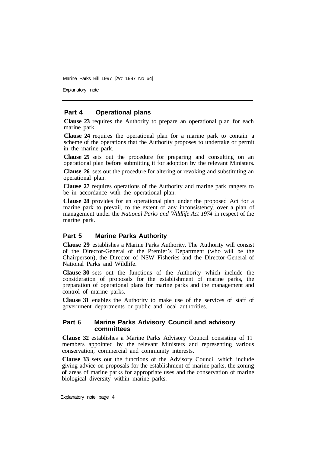Explanatory note

#### **Part 4 Operational plans**

**Clause 23** requires the Authority to prepare an operational plan for each marine park.

**Clause 24** requires the operational plan for a marine park to contain a scheme of the operations that the Authority proposes to undertake or permit in the marine park.

**Clause 25** sets out the procedure for preparing and consulting on an operational plan before submitting it for adoption by the relevant Ministers.

**Clause 26** sets out the procedure for altering or revoking and substituting an operational plan.

**Clause 27** requires operations of the Authority and marine park rangers to be in accordance with the operational plan.

**Clause 28** provides for an operational plan under the proposed Act for a marine park to prevail, to the extent of any inconsistency, over a plan of management under the *National Parks and Wildlife Act 1974* in respect of the marine park.

#### **Part 5 Marine Parks Authority**

**Clause 29** establishes a Marine Parks Authority. The Authority will consist of the Director-General of the Premier's Department (who will be the Chairperson), the Director of NSW Fisheries and the Director-General of National Parks and Wildlife.

**Clause 30** sets out the functions of the Authority which include the consideration of proposals for the establishment of marine parks, the preparation of operational plans for marine parks and the management and control of marine parks.

**Clause 31** enables the Authority to make use of the services of staff of government departments or public and local authorities.

#### **Part 6 Marine Parks Advisory Council and advisory committees**

**Clause 32** establishes a Marine Parks Advisory Council consisting of 11 members appointed by the relevant Ministers and representing various conservation, commercial and community interests.

**Clause 33** sets out the functions of the Advisory Council which include giving advice on proposals for the establishment of marine parks, the zoning of areas of marine parks for appropriate uses and the conservation of marine biological diversity within marine parks.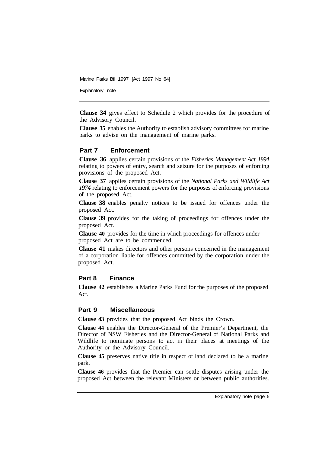Explanatory note

**Clause 34** gives effect to Schedule 2 which provides for the procedure of the Advisory Council.

**Clause 35** enables the Authority to establish advisory committees for marine parks to advise on the management of marine parks.

#### **Part 7 Enforcement**

**Clause 36** applies certain provisions of the *Fisheries Management Act 1994*  relating to powers of entry, search and seizure for the purposes of enforcing provisions of the proposed Act.

**Clause 37** applies certain provisions of the *National Parks and Wildlife Act 1974* relating to enforcement powers for the purposes of enforcing provisions of the proposed Act.

**Clause 38** enables penalty notices to be issued for offences under the proposed Act.

**Clause 39** provides for the taking of proceedings for offences under the proposed Act.

**Clause 40** provides for the time in which proceedings for offences under proposed Act are to be commenced.

**Clause 41** makes directors and other persons concerned in the management of a corporation liable for offences committed by the corporation under the proposed Act.

#### **Part 8 Finance**

**Clause 42** establishes a Marine Parks Fund for the purposes of the proposed Act.

#### **Part 9 Miscellaneous**

**Clause 43** provides that the proposed Act binds the Crown.

**Clause 44** enables the Director-General of the Premier's Department, the Director of NSW Fisheries and the Director-General of National Parks and Wildlife to nominate persons to act in their places at meetings of the Authority or the Advisory Council.

**Clause 45** preserves native title in respect of land declared to be a marine park.

**Clause 46** provides that the Premier can settle disputes arising under the proposed Act between the relevant Ministers or between public authorities.